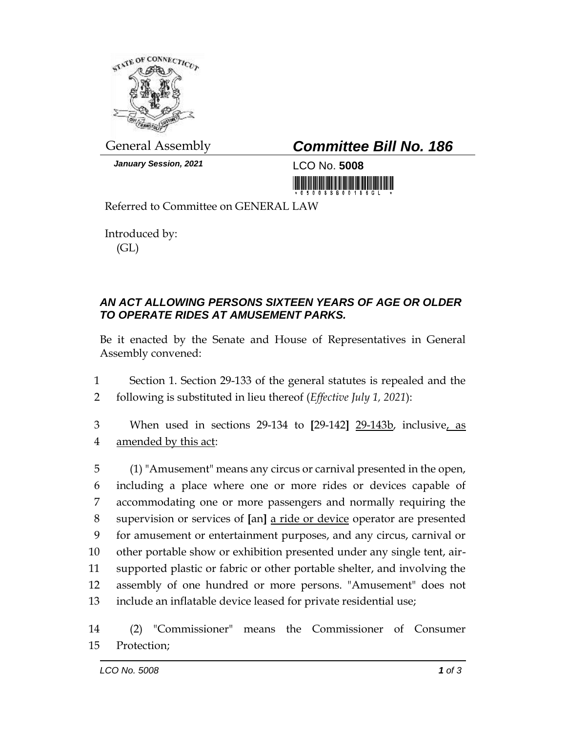

*January Session, 2021* LCO No. **5008**

## General Assembly *Committee Bill No. 186*

<u> III martin ma'lumot</u>

Referred to Committee on GENERAL LAW

Introduced by: (GL)

## *AN ACT ALLOWING PERSONS SIXTEEN YEARS OF AGE OR OLDER TO OPERATE RIDES AT AMUSEMENT PARKS.*

Be it enacted by the Senate and House of Representatives in General Assembly convened:

1 Section 1. Section 29-133 of the general statutes is repealed and the 2 following is substituted in lieu thereof (*Effective July 1, 2021*):

3 When used in sections 29-134 to **[**29-142**]** 29-143b, inclusive, as 4 amended by this act:

 (1) "Amusement" means any circus or carnival presented in the open, including a place where one or more rides or devices capable of accommodating one or more passengers and normally requiring the supervision or services of **[**an**]** a ride or device operator are presented for amusement or entertainment purposes, and any circus, carnival or other portable show or exhibition presented under any single tent, air- supported plastic or fabric or other portable shelter, and involving the assembly of one hundred or more persons. "Amusement" does not include an inflatable device leased for private residential use;

14 (2) "Commissioner" means the Commissioner of Consumer 15 Protection;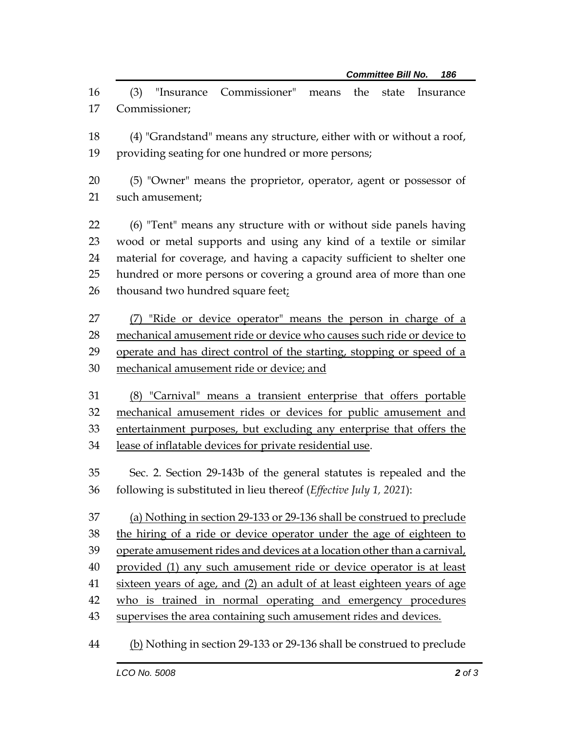(3) "Insurance Commissioner" means the state Insurance Commissioner;

 (4) "Grandstand" means any structure, either with or without a roof, providing seating for one hundred or more persons;

 (5) "Owner" means the proprietor, operator, agent or possessor of such amusement;

 (6) "Tent" means any structure with or without side panels having wood or metal supports and using any kind of a textile or similar material for coverage, and having a capacity sufficient to shelter one hundred or more persons or covering a ground area of more than one 26 thousand two hundred square feetz

27 (7) "Ride or device operator" means the person in charge of a mechanical amusement ride or device who causes such ride or device to 29 operate and has direct control of the starting, stopping or speed of a 30 mechanical amusement ride or device; and

 (8) "Carnival" means a transient enterprise that offers portable mechanical amusement rides or devices for public amusement and entertainment purposes, but excluding any enterprise that offers the 34 lease of inflatable devices for private residential use.

 Sec. 2. Section 29-143b of the general statutes is repealed and the following is substituted in lieu thereof (*Effective July 1, 2021*):

 (a) Nothing in section 29-133 or 29-136 shall be construed to preclude the hiring of a ride or device operator under the age of eighteen to operate amusement rides and devices at a location other than a carnival, provided (1) any such amusement ride or device operator is at least 41 sixteen years of age, and (2) an adult of at least eighteen years of age who is trained in normal operating and emergency procedures supervises the area containing such amusement rides and devices.

44 (b) Nothing in section 29-133 or 29-136 shall be construed to preclude